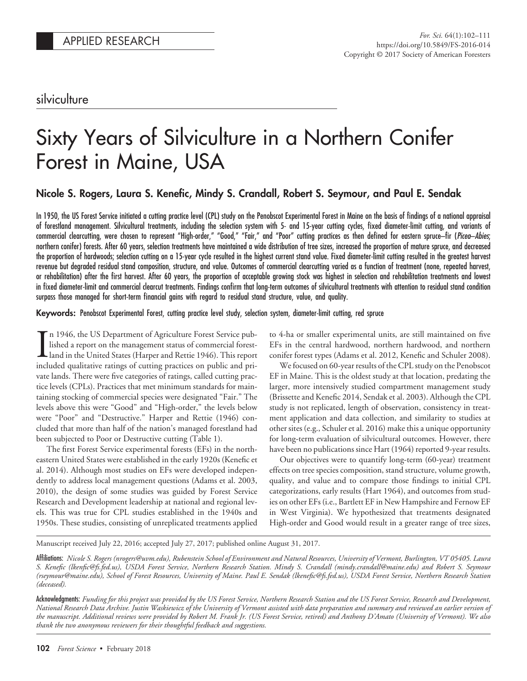silviculture

# Sixty Years of Silviculture in a Northern Conifer Forest in Maine, USA

## Nicole S. Rogers, Laura S. Kenefic, Mindy S. Crandall, Robert S. Seymour, and Paul E. Sendak

In 1950, the US Forest Service initiated a cutting practice level (CPL) study on the Penobscot Experimental Forest in Maine on the basis of findings of a national appraisal of forestland management. Silvicultural treatments, including the selection system with 5- and 15-year cutting cycles, fixed diameter-limit cutting, and variants of commercial clearcutting, were chosen to represent "High-order," "Good," "Fair," and "Poor" cutting practices as then defined for eastern spruce–fir (*Picea*–*Abies*; northern conifer) forests. After 60 years, selection treatments have maintained a wide distribution of tree sizes, increased the proportion of mature spruce, and decreased the proportion of hardwoods; selection cutting on a 15-year cycle resulted in the highest current stand value. Fixed diameter-limit cutting resulted in the greatest harvest revenue but degraded residual stand composition, structure, and value. Outcomes of commercial clearcutting varied as a function of treatment (none, repeated harvest, or rehabilitation) after the first harvest. After 60 years, the proportion of acceptable growing stock was highest in selection and rehabilitation treatments and lowest in fixed diameter-limit and commercial clearcut treatments. Findings confirm that long-term outcomes of silvicultural treatments with attention to residual stand condition surpass those managed for short-term financial gains with regard to residual stand structure, value, and quality.

### Keywords: Penobscot Experimental Forest, cutting practice level study, selection system, diameter-limit cutting, red spruce

In 1946, the US Department of Agriculture Forest Service pub-<br>lished a report on the management status of commercial forest-<br>land in the United States (Harper and Rettie 1946). This report<br>included qualitative ratings of c n 1946, the US Department of Agriculture Forest Service published a report on the management status of commercial forestland in the United States (Harper and Rettie 1946). This report vate lands. There were five categories of ratings, called cutting practice levels (CPLs). Practices that met minimum standards for maintaining stocking of commercial species were designated "Fair." The levels above this were "Good" and "High-order," the levels below were "Poor" and "Destructive." Harper and Rettie (1946) concluded that more than half of the nation's managed forestland had been subjected to Poor or Destructive cutting (Table 1).

The first Forest Service experimental forests (EFs) in the northeastern United States were established in the early 1920s (Kenefic et al. 2014). Although most studies on EFs were developed independently to address local management questions (Adams et al. 2003, 2010), the design of some studies was guided by Forest Service Research and Development leadership at national and regional levels. This was true for CPL studies established in the 1940s and 1950s. These studies, consisting of unreplicated treatments applied to 4-ha or smaller experimental units, are still maintained on five EFs in the central hardwood, northern hardwood, and northern conifer forest types (Adams et al. 2012, Kenefic and Schuler 2008).

We focused on 60-year results of the CPL study on the Penobscot EF in Maine. This is the oldest study at that location, predating the larger, more intensively studied compartment management study (Brissette and Kenefic 2014, Sendak et al. 2003). Although the CPL study is not replicated, length of observation, consistency in treatment application and data collection, and similarity to studies at other sites (e.g., Schuler et al. 2016) make this a unique opportunity for long-term evaluation of silvicultural outcomes. However, there have been no publications since Hart (1964) reported 9-year results.

Our objectives were to quantify long-term (60-year) treatment effects on tree species composition, stand structure, volume growth, quality, and value and to compare those findings to initial CPL categorizations, early results (Hart 1964), and outcomes from studies on other EFs (i.e., Bartlett EF in New Hampshire and Fernow EF in West Virginia). We hypothesized that treatments designated High-order and Good would result in a greater range of tree sizes,

Manuscript received July 22, 2016; accepted July 27, 2017; published online August 31, 2017.

Acknowledgments: *Funding for this project was provided by the US Forest Service, Northern Research Station and the US Forest Service, Research and Development, National Research Data Archive. Justin Waskiewicz of the University of Vermont assisted with data preparation and summary and reviewed an earlier version of the manuscript. Additional reviews were provided by Robert M. Frank Jr. (US Forest Service, retired) and Anthony D'Amato (University of Vermont). We also thank the two anonymous reviewers for their thoughtful feedback and suggestions.*

Affiliations: *Nicole S. Rogers (nrogers@uvm.edu), Rubenstein School of Environment and Natural Resources, University of Vermont, Burlington, VT 05405. Laura S. Kenefic (lkenfic@fs.fed.us), USDA Forest Service, Northern Research Station. Mindy S. Crandall (mindy.crandall@maine.edu) and Robert S. Seymour (rseymour@maine.edu), School of Forest Resources, University of Maine. Paul E. Sendak (lkenefic@fs.fed.us), USDA Forest Service, Northern Research Station (deceased).*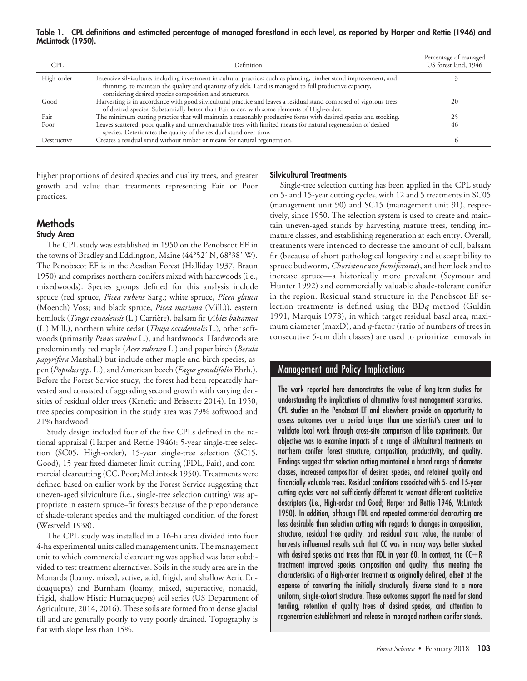Table 1. CPL definitions and estimated percentage of managed forestland in each level, as reported by Harper and Rettie (1946) and McLintock (1950).

| <b>CPL</b>  | Definition                                                                                                                                                                                                                                                                              | Percentage of managed<br>US forest land, 1946 |
|-------------|-----------------------------------------------------------------------------------------------------------------------------------------------------------------------------------------------------------------------------------------------------------------------------------------|-----------------------------------------------|
| High-order  | Intensive silviculture, including investment in cultural practices such as planting, timber stand improvement, and<br>thinning, to maintain the quality and quantity of yields. Land is managed to full productive capacity,<br>considering desired species composition and structures. |                                               |
| Good        | Harvesting is in accordance with good silvicultural practice and leaves a residual stand composed of vigorous trees<br>of desired species. Substantially better than Fair order, with some elements of High-order.                                                                      | 20                                            |
| Fair        | The minimum cutting practice that will maintain a reasonably productive forest with desired species and stocking.                                                                                                                                                                       |                                               |
| Poor        | Leaves scattered, poor quality and unmerchantable trees with limited means for natural regeneration of desired<br>species. Deteriorates the quality of the residual stand over time.                                                                                                    | 46                                            |
| Destructive | Creates a residual stand without timber or means for natural regeneration.                                                                                                                                                                                                              |                                               |

higher proportions of desired species and quality trees, and greater growth and value than treatments representing Fair or Poor practices.

# **Methods**

## Study Area

The CPL study was established in 1950 on the Penobscot EF in the towns of Bradley and Eddington, Maine (44°52' N, 68°38' W). The Penobscot EF is in the Acadian Forest (Halliday 1937, Braun 1950) and comprises northern conifers mixed with hardwoods (i.e., mixedwoods). Species groups defined for this analysis include spruce (red spruce, *Picea rubens* Sarg.; white spruce, *Picea glauca* (Moench) Voss; and black spruce, *Picea mariana* (Mill.)), eastern hemlock (*Tsuga canadensis* (L.) Carrie`re), balsam fir (*Abies balsamea* (L.) Mill.), northern white cedar (*Thuja occidentalis* L.), other softwoods (primarily *Pinus strobus* L.), and hardwoods. Hardwoods are predominantly red maple (*Acer rubrum* L.) and paper birch (*Betula papyrifera* Marshall) but include other maple and birch species, aspen (*Populus spp.* L.), and American beech (*Fagus grandifolia* Ehrh.). Before the Forest Service study, the forest had been repeatedly harvested and consisted of aggrading second growth with varying densities of residual older trees (Kenefic and Brissette 2014). In 1950, tree species composition in the study area was 79% softwood and 21% hardwood.

Study design included four of the five CPLs defined in the national appraisal (Harper and Rettie 1946): 5-year single-tree selection (SC05, High-order), 15-year single-tree selection (SC15, Good), 15-year fixed diameter-limit cutting (FDL, Fair), and commercial clearcutting (CC, Poor; McLintock 1950). Treatments were defined based on earlier work by the Forest Service suggesting that uneven-aged silviculture (i.e., single-tree selection cutting) was appropriate in eastern spruce–fir forests because of the preponderance of shade-tolerant species and the multiaged condition of the forest (Westveld 1938).

The CPL study was installed in a 16-ha area divided into four 4-ha experimental units called management units. The management unit to which commercial clearcutting was applied was later subdivided to test treatment alternatives. Soils in the study area are in the Monarda (loamy, mixed, active, acid, frigid, and shallow Aeric Endoaquepts) and Burnham (loamy, mixed, superactive, nonacid, frigid, shallow Histic Humaquepts) soil series (US Department of Agriculture, 2014, 2016). These soils are formed from dense glacial till and are generally poorly to very poorly drained. Topography is flat with slope less than 15%.

#### Silvicultural Treatments

Single-tree selection cutting has been applied in the CPL study on 5- and 15-year cutting cycles, with 12 and 5 treatments in SC05 (management unit 90) and SC15 (management unit 91), respectively, since 1950. The selection system is used to create and maintain uneven-aged stands by harvesting mature trees, tending immature classes, and establishing regeneration at each entry. Overall, treatments were intended to decrease the amount of cull, balsam fir (because of short pathological longevity and susceptibility to spruce budworm, *Choristoneura fumiferana*), and hemlock and to increase spruce—a historically more prevalent (Seymour and Hunter 1992) and commercially valuable shade-tolerant conifer in the region. Residual stand structure in the Penobscot EF selection treatments is defined using the BD*q* method (Guldin 1991, Marquis 1978), in which target residual basal area, maximum diameter (maxD), and *q*-factor (ratio of numbers of trees in consecutive 5-cm dbh classes) are used to prioritize removals in

## Management and Policy Implications

The work reported here demonstrates the value of long-term studies for understanding the implications of alternative forest management scenarios. CPL studies on the Penobscot EF and elsewhere provide an opportunity to assess outcomes over a period longer than one scientist's career and to validate local work through cross-site comparison of like experiments. Our objective was to examine impacts of a range of silvicultural treatments on northern conifer forest structure, composition, productivity, and quality. Findings suggest that selection cutting maintained a broad range of diameter classes, increased composition of desired species, and retained quality and financially valuable trees. Residual conditions associated with 5- and 15-year cutting cycles were not sufficiently different to warrant different qualitative descriptors (i.e., High-order and Good; Harper and Rettie 1946, McLintock 1950). In addition, although FDL and repeated commercial clearcutting are less desirable than selection cutting with regards to changes in composition, structure, residual tree quality, and residual stand value, the number of harvests influenced results such that CC was in many ways better stocked with desired species and trees than FDL in year 60. In contrast, the  $C+R$ treatment improved species composition and quality, thus meeting the characteristics of a High-order treatment as originally defined, albeit at the expense of converting the initially structurally diverse stand to a more uniform, single-cohort structure. These outcomes support the need for stand tending, retention of quality trees of desired species, and attention to regeneration establishment and release in managed northern conifer stands.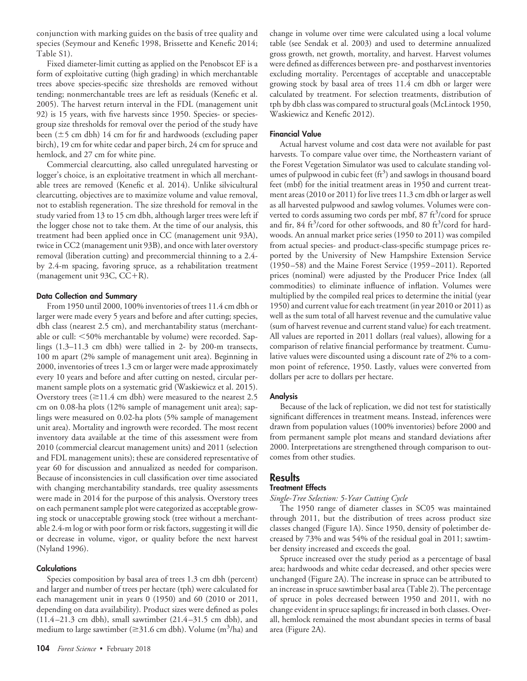conjunction with marking guides on the basis of tree quality and species (Seymour and Kenefic 1998, Brissette and Kenefic 2014; Table S1).

Fixed diameter-limit cutting as applied on the Penobscot EF is a form of exploitative cutting (high grading) in which merchantable trees above species-specific size thresholds are removed without tending; nonmerchantable trees are left as residuals (Kenefic et al. 2005). The harvest return interval in the FDL (management unit 92) is 15 years, with five harvests since 1950. Species- or speciesgroup size thresholds for removal over the period of the study have been  $(\pm 5 \text{ cm dbh})$  14 cm for fir and hardwoods (excluding paper birch), 19 cm for white cedar and paper birch, 24 cm for spruce and hemlock, and 27 cm for white pine.

Commercial clearcutting, also called unregulated harvesting or logger's choice, is an exploitative treatment in which all merchantable trees are removed (Kenefic et al. 2014). Unlike silvicultural clearcutting, objectives are to maximize volume and value removal, not to establish regeneration. The size threshold for removal in the study varied from 13 to 15 cm dbh, although larger trees were left if the logger chose not to take them. At the time of our analysis, this treatment had been applied once in CC (management unit 93A), twice in CC2 (management unit 93B), and once with later overstory removal (liberation cutting) and precommercial thinning to a 2.4 by 2.4-m spacing, favoring spruce, as a rehabilitation treatment (management unit 93C,  $CC+R$ ).

#### Data Collection and Summary

From 1950 until 2000, 100% inventories of trees 11.4 cm dbh or larger were made every 5 years and before and after cutting; species, dbh class (nearest 2.5 cm), and merchantability status (merchantable or cull: 50% merchantable by volume) were recorded. Saplings (1.3–11.3 cm dbh) were tallied in 2- by 200-m transects, 100 m apart (2% sample of management unit area). Beginning in 2000, inventories of trees 1.3 cm or larger were made approximately every 10 years and before and after cutting on nested, circular permanent sample plots on a systematic grid (Waskiewicz et al. 2015). Overstory trees  $(\geq 11.4 \text{ cm dbh})$  were measured to the nearest 2.5 cm on 0.08-ha plots (12% sample of management unit area); saplings were measured on 0.02-ha plots (5% sample of management unit area). Mortality and ingrowth were recorded. The most recent inventory data available at the time of this assessment were from 2010 (commercial clearcut management units) and 2011 (selection and FDL management units); these are considered representative of year 60 for discussion and annualized as needed for comparison. Because of inconsistencies in cull classification over time associated with changing merchantability standards, tree quality assessments were made in 2014 for the purpose of this analysis. Overstory trees on each permanent sample plot were categorized as acceptable growing stock or unacceptable growing stock (tree without a merchantable 2.4-m log or with poor form or risk factors, suggesting it will die or decrease in volume, vigor, or quality before the next harvest (Nyland 1996).

#### **Calculations**

Species composition by basal area of trees 1.3 cm dbh (percent) and larger and number of trees per hectare (tph) were calculated for each management unit in years 0 (1950) and 60 (2010 or 2011, depending on data availability). Product sizes were defined as poles (11.4 –21.3 cm dbh), small sawtimber (21.4 –31.5 cm dbh), and medium to large sawtimber ( $\geq$ 31.6 cm dbh). Volume (m<sup>3</sup>/ha) and

change in volume over time were calculated using a local volume table (see Sendak et al. 2003) and used to determine annualized gross growth, net growth, mortality, and harvest. Harvest volumes were defined as differences between pre- and postharvest inventories excluding mortality. Percentages of acceptable and unacceptable growing stock by basal area of trees 11.4 cm dbh or larger were calculated by treatment. For selection treatments, distribution of tph by dbh class was compared to structural goals (McLintock 1950, Waskiewicz and Kenefic 2012).

#### Financial Value

Actual harvest volume and cost data were not available for past harvests. To compare value over time, the Northeastern variant of the Forest Vegetation Simulator was used to calculate standing volumes of pulpwood in cubic feet  $(ft^3)$  and sawlogs in thousand board feet (mbf) for the initial treatment areas in 1950 and current treatment areas (2010 or 2011) for live trees 11.3 cm dbh or larger as well as all harvested pulpwood and sawlog volumes. Volumes were converted to cords assuming two cords per mbf, 87 ft<sup>3</sup>/cord for spruce and fir, 84 ft<sup>3</sup>/cord for other softwoods, and 80 ft<sup>3</sup>/cord for hardwoods. An annual market price series (1950 to 2011) was compiled from actual species- and product-class-specific stumpage prices reported by the University of New Hampshire Extension Service (1950 –58) and the Maine Forest Service (1959 –2011). Reported prices (nominal) were adjusted by the Producer Price Index (all commodities) to eliminate influence of inflation. Volumes were multiplied by the compiled real prices to determine the initial (year 1950) and current value for each treatment (in year 2010 or 2011) as well as the sum total of all harvest revenue and the cumulative value (sum of harvest revenue and current stand value) for each treatment. All values are reported in 2011 dollars (real values), allowing for a comparison of relative financial performance by treatment. Cumulative values were discounted using a discount rate of 2% to a common point of reference, 1950. Lastly, values were converted from dollars per acre to dollars per hectare.

#### **Analysis**

Because of the lack of replication, we did not test for statistically significant differences in treatment means. Instead, inferences were drawn from population values (100% inventories) before 2000 and from permanent sample plot means and standard deviations after 2000. Interpretations are strengthened through comparison to outcomes from other studies.

## **Results**

#### Treatment Effects

#### *Single-Tree Selection: 5-Year Cutting Cycle*

The 1950 range of diameter classes in SC05 was maintained through 2011, but the distribution of trees across product size classes changed (Figure 1A). Since 1950, density of poletimber decreased by 73% and was 54% of the residual goal in 2011; sawtimber density increased and exceeds the goal.

Spruce increased over the study period as a percentage of basal area; hardwoods and white cedar decreased, and other species were unchanged (Figure 2A). The increase in spruce can be attributed to an increase in spruce sawtimber basal area (Table 2). The percentage of spruce in poles decreased between 1950 and 2011, with no change evident in spruce saplings; fir increased in both classes. Overall, hemlock remained the most abundant species in terms of basal area (Figure 2A).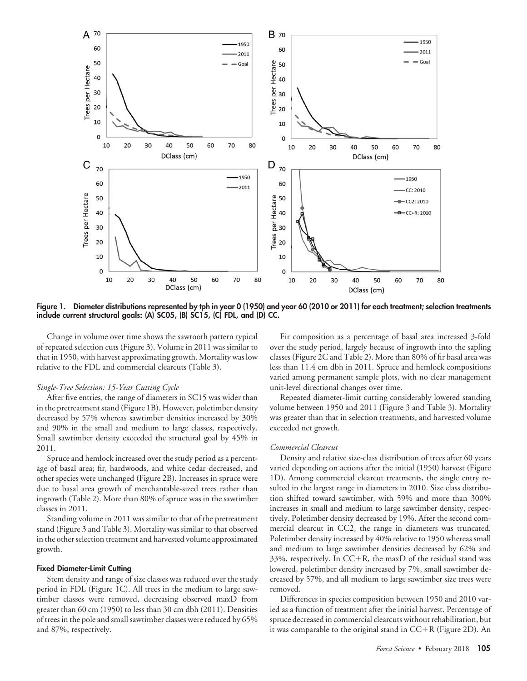

Figure 1. Diameter distributions represented by tph in year 0 (1950) and year 60 (2010 or 2011) for each treatment; selection treatments include current structural goals: (A) SC05, (B) SC15, (C) FDL, and (D) CC.

Change in volume over time shows the sawtooth pattern typical of repeated selection cuts (Figure 3). Volume in 2011 was similar to that in 1950, with harvest approximating growth. Mortality was low relative to the FDL and commercial clearcuts (Table 3).

#### *Single-Tree Selection: 15-Year Cutting Cycle*

After five entries, the range of diameters in SC15 was wider than in the pretreatment stand (Figure 1B). However, poletimber density decreased by 57% whereas sawtimber densities increased by 30% and 90% in the small and medium to large classes, respectively. Small sawtimber density exceeded the structural goal by 45% in 2011.

Spruce and hemlock increased over the study period as a percentage of basal area; fir, hardwoods, and white cedar decreased, and other species were unchanged (Figure 2B). Increases in spruce were due to basal area growth of merchantable-sized trees rather than ingrowth (Table 2). More than 80% of spruce was in the sawtimber classes in 2011.

Standing volume in 2011 was similar to that of the pretreatment stand (Figure 3 and Table 3). Mortality was similar to that observed in the other selection treatment and harvested volume approximated growth.

#### Fixed Diameter-Limit Cutting

Stem density and range of size classes was reduced over the study period in FDL (Figure 1C). All trees in the medium to large sawtimber classes were removed, decreasing observed maxD from greater than 60 cm (1950) to less than 30 cm dbh (2011). Densities of trees in the pole and small sawtimber classes were reduced by 65% and 87%, respectively.

Fir composition as a percentage of basal area increased 3-fold over the study period, largely because of ingrowth into the sapling classes (Figure 2C and Table 2). More than 80% of fir basal area was less than 11.4 cm dbh in 2011. Spruce and hemlock compositions varied among permanent sample plots, with no clear management unit-level directional changes over time.

Repeated diameter-limit cutting considerably lowered standing volume between 1950 and 2011 (Figure 3 and Table 3). Mortality was greater than that in selection treatments, and harvested volume exceeded net growth.

#### *Commercial Clearcut*

Density and relative size-class distribution of trees after 60 years varied depending on actions after the initial (1950) harvest (Figure 1D). Among commercial clearcut treatments, the single entry resulted in the largest range in diameters in 2010. Size class distribution shifted toward sawtimber, with 59% and more than 300% increases in small and medium to large sawtimber density, respectively. Poletimber density decreased by 19%. After the second commercial clearcut in CC2, the range in diameters was truncated. Poletimber density increased by 40% relative to 1950 whereas small and medium to large sawtimber densities decreased by 62% and 33%, respectively. In  $CC+R$ , the maxD of the residual stand was lowered, poletimber density increased by 7%, small sawtimber decreased by 57%, and all medium to large sawtimber size trees were removed.

Differences in species composition between 1950 and 2010 varied as a function of treatment after the initial harvest. Percentage of spruce decreased in commercial clearcuts without rehabilitation, but it was comparable to the original stand in  $CC+R$  (Figure 2D). An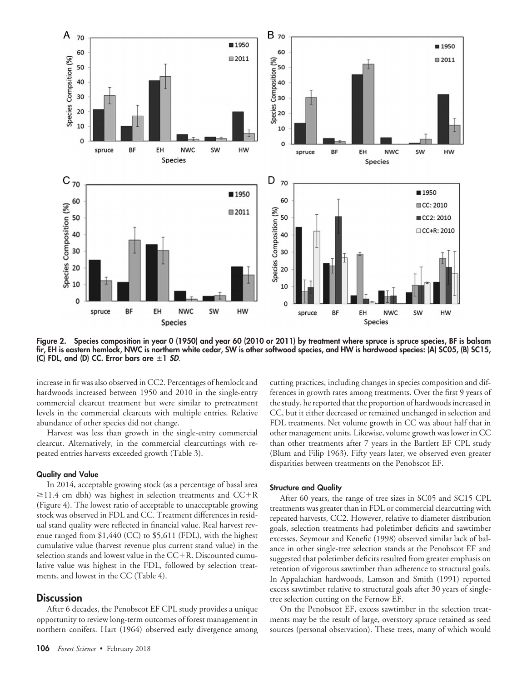

Figure 2. Species composition in year 0 (1950) and year 60 (2010 or 2011) by treatment where spruce is spruce species, BF is balsam fir, EH is eastern hemlock, NWC is northern white cedar, SW is other softwood species, and HW is hardwood species: (A) SC05, (B) SC15, (C) FDL, and (D) CC. Error bars are  $\pm 1$  *SD*.

increase in fir was also observed in CC2. Percentages of hemlock and hardwoods increased between 1950 and 2010 in the single-entry commercial clearcut treatment but were similar to pretreatment levels in the commercial clearcuts with multiple entries. Relative abundance of other species did not change.

Harvest was less than growth in the single-entry commercial clearcut. Alternatively, in the commercial clearcuttings with repeated entries harvests exceeded growth (Table 3).

#### Quality and Value

In 2014, acceptable growing stock (as a percentage of basal area  $\geq$ 11.4 cm dbh) was highest in selection treatments and CC+R (Figure 4). The lowest ratio of acceptable to unacceptable growing stock was observed in FDL and CC. Treatment differences in residual stand quality were reflected in financial value. Real harvest revenue ranged from \$1,440 (CC) to \$5,611 (FDL), with the highest cumulative value (harvest revenue plus current stand value) in the selection stands and lowest value in the  $CC+R$ . Discounted cumulative value was highest in the FDL, followed by selection treatments, and lowest in the CC (Table 4).

#### **Discussion**

After 6 decades, the Penobscot EF CPL study provides a unique opportunity to review long-term outcomes of forest management in northern conifers. Hart (1964) observed early divergence among cutting practices, including changes in species composition and differences in growth rates among treatments. Over the first 9 years of the study, he reported that the proportion of hardwoods increased in CC, but it either decreased or remained unchanged in selection and FDL treatments. Net volume growth in CC was about half that in other management units. Likewise, volume growth was lower in CC than other treatments after 7 years in the Bartlett EF CPL study (Blum and Filip 1963). Fifty years later, we observed even greater disparities between treatments on the Penobscot EF.

#### Structure and Quality

After 60 years, the range of tree sizes in SC05 and SC15 CPL treatments was greater than in FDL or commercial clearcutting with repeated harvests, CC2. However, relative to diameter distribution goals, selection treatments had poletimber deficits and sawtimber excesses. Seymour and Kenefic (1998) observed similar lack of balance in other single-tree selection stands at the Penobscot EF and suggested that poletimber deficits resulted from greater emphasis on retention of vigorous sawtimber than adherence to structural goals. In Appalachian hardwoods, Lamson and Smith (1991) reported excess sawtimber relative to structural goals after 30 years of singletree selection cutting on the Fernow EF.

On the Penobscot EF, excess sawtimber in the selection treatments may be the result of large, overstory spruce retained as seed sources (personal observation). These trees, many of which would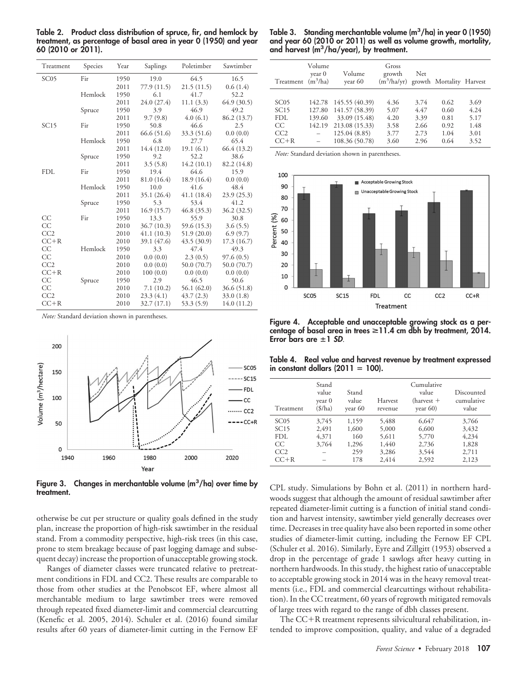Table 2. Product class distribution of spruce, fir, and hemlock by treatment, as percentage of basal area in year 0 (1950) and year 60 (2010 or 2011).

| Treatment        | Species | Year | Saplings    | Poletimber  | Sawtimber   |
|------------------|---------|------|-------------|-------------|-------------|
| SC <sub>05</sub> | Fir     | 1950 | 19.0        | 64.5        | 16.5        |
|                  |         | 2011 | 77.9 (11.5) | 21.5(11.5)  | 0.6(1.4)    |
|                  | Hemlock | 1950 | 6.1         | 41.7        | 52.2        |
|                  |         | 2011 | 24.0 (27.4) | 11.1(3.3)   | 64.9(30.5)  |
|                  | Spruce  | 1950 | 3.9         | 46.9        | 49.2        |
|                  |         | 2011 | 9.7(9.8)    | 4.0(6.1)    | 86.2 (13.7) |
| SC15             | Fir     | 1950 | 50.8        | 46.6        | 2.5         |
|                  |         | 2011 | 66.6 (51.6) | 33.3 (51.6) | 0.0(0.0)    |
|                  | Hemlock | 1950 | 6.8         | 27.7        | 65.4        |
|                  |         | 2011 | 14.4 (12.0) | 19.1(6.1)   | 66.4 (13.2) |
|                  | Spruce  | 1950 | 9.2         | 52.2        | 38.6        |
|                  |         | 2011 | 3.5(5.8)    | 14.2(10.1)  | 82.2 (14.8) |
| <b>FDL</b>       | Fir     | 1950 | 19.4        | 64.6        | 15.9        |
|                  |         | 2011 | 81.0 (16.4) | 18.9 (16.4) | 0.0(0.0)    |
|                  | Hemlock | 1950 | 10.0        | 41.6        | 48.4        |
|                  |         | 2011 | 35.1 (26.4) | 41.1(18.4)  | 23.9(25.3)  |
|                  | Spruce  | 1950 | 5.3         | 53.4        | 41.2        |
|                  |         | 2011 | 16.9(15.7)  | 46.8 (35.3) | 36.2 (32.5) |
| CC               | Fir     | 1950 | 13.3        | 55.9        | 30.8        |
| CC               |         | 2010 | 36.7(10.3)  | 59.6 (15.3) | 3.6(5.5)    |
| CC2              |         | 2010 | 41.1(10.3)  | 51.9(20.0)  | 6.9(9.7)    |
| $CC+R$           |         | 2010 | 39.1 (47.6) | 43.5 (30.9) | 17.3 (16.7) |
| CC               | Hemlock | 1950 | 3.3         | 47.4        | 49.3        |
| CC               |         | 2010 | 0.0(0.0)    | 2.3(0.5)    | 97.6(0.5)   |
| CC2              |         | 2010 | 0.0(0.0)    | 50.0 (70.7) | 50.0 (70.7) |
| $CC+R$           |         | 2010 | 100(0.0)    | 0.0(0.0)    | 0.0(0.0)    |
| <b>CC</b>        | Spruce  | 1950 | 2.9         | 46.5        | 50.6        |
| СC               |         | 2010 | 7.1(10.2)   | 56.1(62.0)  | 36.6 (51.8) |
| CC2              |         | 2010 | 23.3(4.1)   | 43.7(2.3)   | 33.0 (1.8)  |
| $CC+R$           |         | 2010 | 32.7(17.1)  | 53.3 (5.9)  | 14.0 (11.2) |

*Note:* Standard deviation shown in parentheses.



Figure 3. Changes in merchantable volume  $(m^3/ha)$  over time by treatment.

otherwise be cut per structure or quality goals defined in the study plan, increase the proportion of high-risk sawtimber in the residual stand. From a commodity perspective, high-risk trees (in this case, prone to stem breakage because of past logging damage and subsequent decay) increase the proportion of unacceptable growing stock.

Ranges of diameter classes were truncated relative to pretreatment conditions in FDL and CC2. These results are comparable to those from other studies at the Penobscot EF, where almost all merchantable medium to large sawtimber trees were removed through repeated fixed diameter-limit and commercial clearcutting (Kenefic et al. 2005, 2014). Schuler et al. (2016) found similar results after 60 years of diameter-limit cutting in the Fernow EF

| Table 3. Standing merchantable volume $(m^3/ha)$ in year 0 (1950) |
|-------------------------------------------------------------------|
| and year 60 (2010 or 2011) as well as volume growth, mortality,   |
| and harvest $\rm (m^3/ha/year)$ , by treatment.                   |

| Treatment                                   | Volume<br>year 0<br>$(m^3/ha)$                   | Volume<br>year 60                                                                                      | Gross<br>growth<br>$(m^3/ha/yr)$ growth Mortality Harvest | Net                                          |                                              |                                              |
|---------------------------------------------|--------------------------------------------------|--------------------------------------------------------------------------------------------------------|-----------------------------------------------------------|----------------------------------------------|----------------------------------------------|----------------------------------------------|
| SC05<br>SC15<br>FDL.<br>CC<br>CC2<br>$CC+R$ | 142.78<br>127.80<br>139.60<br>142.19<br>$\equiv$ | 145.55 (40.39)<br>141.57 (58.39)<br>33.09 (15.48)<br>213.08 (15.33)<br>125.04 (8.85)<br>108.36 (50.78) | 4.36<br>5.07<br>4.20<br>3.58<br>3.77<br>3.60              | 3.74<br>4.47<br>3.39<br>2.66<br>2.73<br>2.96 | 0.62<br>0.60<br>0.81<br>0.92<br>1.04<br>0.64 | 3.69<br>4.24<br>5.17<br>1.48<br>3.01<br>3.52 |

*Note:* Standard deviation shown in parentheses.



Figure 4. Acceptable and unacceptable growing stock as a percentage of basal area in trees  $\geq$ 11.4 cm dbh by treatment, 2014. Error bars are  $\pm 1$  *SD*.

Table 4. Real value and harvest revenue by treatment expressed in constant dollars  $(2011 = 100)$ .

| Treatment | Stand<br>value<br>year 0<br>$(\frac{f}{h})$ | Stand<br>value<br>year 60 | Harvest<br>revenue | Cumulative<br>value<br>$(harvest +$<br>year $60$ ) | Discounted<br>cumulative<br>value |
|-----------|---------------------------------------------|---------------------------|--------------------|----------------------------------------------------|-----------------------------------|
| SC05      | 3,745                                       | 1,159                     | 5,488              | 6,647                                              | 3,766                             |
| SC15      | 2,491                                       | 1,600                     | 5,000              | 6,600                                              | 3,432                             |
| FDL.      | 4,371                                       | 160                       | 5,611              | 5,770                                              | 4,234                             |
| CC        | 3.764                                       | 1,296                     | 1,440              | 2,736                                              | 1,828                             |
| CC2       |                                             | 259                       | 3,286              | 3,544                                              | 2,711                             |
| $CC+R$    |                                             | 178                       | 2.414              | 2,592                                              | 2,123                             |

CPL study. Simulations by Bohn et al. (2011) in northern hardwoods suggest that although the amount of residual sawtimber after repeated diameter-limit cutting is a function of initial stand condition and harvest intensity, sawtimber yield generally decreases over time. Decreases in tree quality have also been reported in some other studies of diameter-limit cutting, including the Fernow EF CPL (Schuler et al. 2016). Similarly, Eyre and Zillgitt (1953) observed a drop in the percentage of grade 1 sawlogs after heavy cutting in northern hardwoods. In this study, the highest ratio of unacceptable to acceptable growing stock in 2014 was in the heavy removal treatments (i.e., FDL and commercial clearcuttings without rehabilitation). In the CC treatment, 60 years of regrowth mitigated removals of large trees with regard to the range of dbh classes present.

The  $CC+R$  treatment represents silvicultural rehabilitation, intended to improve composition, quality, and value of a degraded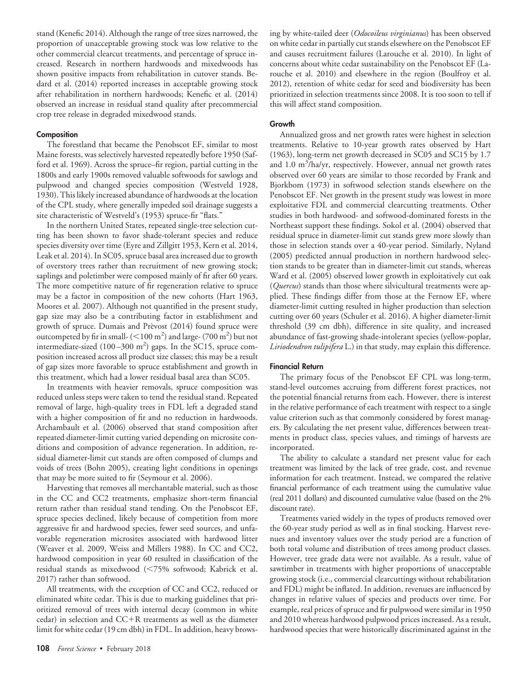stand (Kenefic 2014). Although the range of tree sizes narrowed, the proportion of unacceptable growing stock was low relative to the other commercial clearcut treatments, and percentage of spruce increased. Research in northern hardwoods and mixedwoods has shown positive impacts from rehabilitation in cutover stands. Bedard et al. (2014) reported increases in acceptable growing stock after rehabilitation in northern hardwoods; Kenefic et al. (2014) observed an increase in residual stand quality after precommercial crop tree release in degraded mixedwood stands.

#### **Composition**

The forestland that became the Penobscot EF, similar to most Maine forests, was selectively harvested repeatedly before 1950 (Safford et al. 1969). Across the spruce–fir region, partial cutting in the 1800s and early 1900s removed valuable softwoods for sawlogs and pulpwood and changed species composition (Westveld 1928, 1930). This likely increased abundance of hardwoods at the location of the CPL study, where generally impeded soil drainage suggests a site characteristic of Westveld's (1953) spruce-fir "flats."

In the northern United States, repeated single-tree selection cutting has been shown to favor shade-tolerant species and reduce species diversity over time (Eyre and Zillgitt 1953, Kern et al. 2014, Leak et al. 2014). In SC05, spruce basal area increased due to growth of overstory trees rather than recruitment of new growing stock; saplings and poletimber were composed mainly of fir after 60 years. The more competitive nature of fir regeneration relative to spruce may be a factor in composition of the new cohorts (Hart 1963, Moores et al. 2007). Although not quantified in the present study, gap size may also be a contributing factor in establishment and growth of spruce. Dumais and Prèvost (2014) found spruce were outcompeted by fir in small- ( $<$  100 m<sup>2</sup>) and large- (700 m<sup>2</sup>) but not intermediate-sized  $(100-300 \text{ m}^2)$  gaps. In the SC15, spruce composition increased across all product size classes; this may be a result of gap sizes more favorable to spruce establishment and growth in this treatment, which had a lower residual basal area than SC05.

In treatments with heavier removals, spruce composition was reduced unless steps were taken to tend the residual stand. Repeated removal of large, high-quality trees in FDL left a degraded stand with a higher composition of fir and no reduction in hardwoods. Archambault et al. (2006) observed that stand composition after repeated diameter-limit cutting varied depending on microsite conditions and composition of advance regeneration. In addition, residual diameter-limit cut stands are often composed of clumps and voids of trees (Bohn 2005), creating light conditions in openings that may be more suited to fir (Seymour et al. 2006).

Harvesting that removes all merchantable material, such as those in the CC and CC2 treatments, emphasize short-term financial return rather than residual stand tending. On the Penobscot EF, spruce species declined, likely because of competition from more aggressive fir and hardwood species, fewer seed sources, and unfavorable regeneration microsites associated with hardwood litter (Weaver et al. 2009, Weiss and Millers 1988). In CC and CC2, hardwood composition in year 60 resulted in classification of the residual stands as mixedwood (75% softwood; Kabrick et al. 2017) rather than softwood.

All treatments, with the exception of CC and CC2, reduced or eliminated white cedar. This is due to marking guidelines that prioritized removal of trees with internal decay (common in white cedar) in selection and  $CC+R$  treatments as well as the diameter limit for white cedar (19 cm dbh) in FDL. In addition, heavy browsing by white-tailed deer (*Odocoileus virginianus*) has been observed on white cedar in partially cut stands elsewhere on the Penobscot EF and causes recruitment failures (Larouche et al. 2010). In light of concerns about white cedar sustainability on the Penobscot EF (Larouche et al. 2010) and elsewhere in the region (Boulfroy et al. 2012), retention of white cedar for seed and biodiversity has been prioritized in selection treatments since 2008. It is too soon to tell if this will affect stand composition.

#### Growth

Annualized gross and net growth rates were highest in selection treatments. Relative to 10-year growth rates observed by Hart (1963), long-term net growth decreased in SC05 and SC15 by 1.7 and 1.0 m<sup>3</sup>/ha/yr, respectively. However, annual net growth rates observed over 60 years are similar to those recorded by Frank and Bjorkbom (1973) in softwood selection stands elsewhere on the Penobscot EF. Net growth in the present study was lowest in more exploitative FDL and commercial clearcutting treatments. Other studies in both hardwood- and softwood-dominated forests in the Northeast support these findings. Sokol et al. (2004) observed that residual spruce in diameter-limit cut stands grew more slowly than those in selection stands over a 40-year period. Similarly, Nyland (2005) predicted annual production in northern hardwood selection stands to be greater than in diameter-limit cut stands, whereas Ward et al. (2005) observed lower growth in exploitatively cut oak (*Quercus*) stands than those where silvicultural treatments were applied. These findings differ from those at the Fernow EF, where diameter-limit cutting resulted in higher production than selection cutting over 60 years (Schuler et al. 2016). A higher diameter-limit threshold (39 cm dbh), difference in site quality, and increased abundance of fast-growing shade-intolerant species (yellow-poplar, *Liriodendron tulipifera* L.) in that study, may explain this difference.

#### Financial Return

The primary focus of the Penobscot EF CPL was long-term, stand-level outcomes accruing from different forest practices, not the potential financial returns from each. However, there is interest in the relative performance of each treatment with respect to a single value criterion such as that commonly considered by forest managers. By calculating the net present value, differences between treatments in product class, species values, and timings of harvests are incorporated.

The ability to calculate a standard net present value for each treatment was limited by the lack of tree grade, cost, and revenue information for each treatment. Instead, we compared the relative financial performance of each treatment using the cumulative value (real 2011 dollars) and discounted cumulative value (based on the 2% discount rate).

Treatments varied widely in the types of products removed over the 60-year study period as well as in final stocking. Harvest revenues and inventory values over the study period are a function of both total volume and distribution of trees among product classes. However, tree grade data were not available. As a result, value of sawtimber in treatments with higher proportions of unacceptable growing stock (i.e., commercial clearcuttings without rehabilitation and FDL) might be inflated. In addition, revenues are influenced by changes in relative values of species and products over time. For example, real prices of spruce and fir pulpwood were similar in 1950 and 2010 whereas hardwood pulpwood prices increased. As a result, hardwood species that were historically discriminated against in the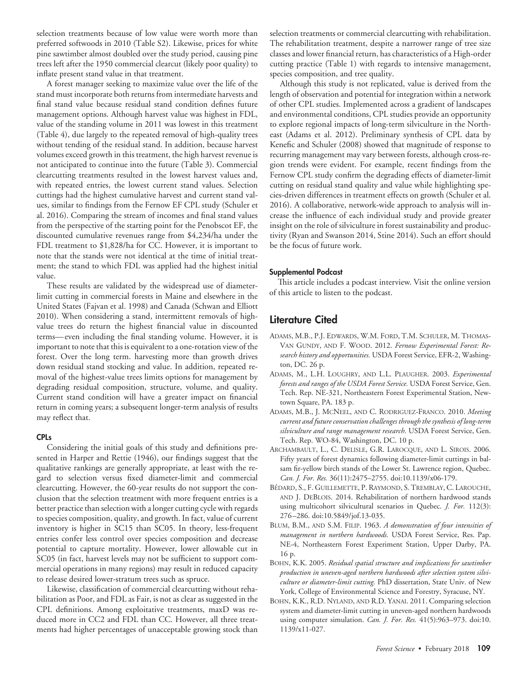selection treatments because of low value were worth more than preferred softwoods in 2010 (Table S2). Likewise, prices for white pine sawtimber almost doubled over the study period, causing pine trees left after the 1950 commercial clearcut (likely poor quality) to inflate present stand value in that treatment.

A forest manager seeking to maximize value over the life of the present standing to coming the intermediate state and the state of the state stand must incorporate both returns from intermediate harvests and pine state over the study period over the study period, calculated over the study pine study pine study pine study pine study pine study pine study and condition defines future management options. Although harvest value was highest in FDL, inflate present stand value in that treatment. value of the standing volume in 2011 was lowest in this treatment (Table 4), due largely to the repeated removal of high-quality trees without tending of the residual stand. In addition, because harvest final stand value because residual stand condition defines future volumes exceed growth in this treatment, the high harvest revenue is not anticipated to continue into the future (Table 3). Commercial clearcutting treatments resulted in the lowest harvest values and, (Table 4), due largely to the repeated removal of high-quality trees with repeated entries, the lowest current stand values. Selection cuttings had the highest cumulative harvest and current stand values, similar to findings from the Fernow EF CPL study (Schuler et al. 2016). Comparing the stream of incomes and final stand values and a consequently treatments in the lowest may mean the lowest harvest the lowest starting point for the Penobscot EF, the discounted cumulative revenues range from \$4,234/ha under the FDL treatment to \$1,828/ha for CC. However, it is important to note that the stands were not identical at the time of initial treatment: the stand to which  $FDI$  was annlied had the highest initial ment; the stand to which FDL was applied had the highest initial<br>value value.

These results are validated by the widespread use of diameterlimit cutting in commercial forests in Maine and elsewhere in the note that the stands were not identical at the time of initial treat-United States (Fajvan et al. 1998) and Canada (Schwan and Elliott 2010). When considering a stand, intermittent removals of highvalue. value trees do return the highest financial value in discounted These results are validated by the widespread use of diameters-<br>terms— even including the final standing volume. However, it is limit cutting in commercial forests in Maine and elsewhere in the important to note that this is equivalent to a one-rotation view of the forest. Over the long term. harvesting more than growth drives 2010). When considering a stand, intermittent removals of high-down residual stand stocking and value. In addition, repeated revalue trees do return the highest financial value in discounted moval of the highest-value trees limits options for management by degrading residual composition, structure, volume, and quality. Equivalent stand condition will have a greater impact on financial survert cannot condition that the lower drivesting more of monument return in coming years; a subsequent longer-term analysis of results<br>may reflect that  $\frac{m}{\sqrt{2}}$  of the highest-value trees limits options for  $m$ may reflect that.

#### degrading residual composition, structure, volume, and quality. CPLs

Considering the initial goals of this study and definitions presented in Harper and Rettie (1946), our findings suggest that the qualitative rankings are generally appropriate, at least with the ree<br>clearcutting. However, the 60-year results do not support the con-Considering the initial goals of this study and definitions pre-clusion that the selection treatment with more frequent entries is a better practice than selection with a longer cutting cycle with regards qualitative rankings are generally appropriate, at least with the re-to species composition, quality, and growth. In fact, value of current inventory is higher in SC15 than SC05. In theory, less-frequent entries confer less control over species composition and decrease clusion that the selection treatment with more frequent entries is a potential to capture mortality. However, lower allowable cut in better practice than selection with a longer cutting cycle with regards SC05 (in fact, harvest levels may not be sufficient to support commercial operations in many regions) may result in reduced capacity Inventory produced in Thans, register, least the counter supposer, to release desired lower-stratum trees such as spruce. gard to selection versus fixed diameter-limit and commercial

Likewise, classification of commercial clearcutting without rehabilitation as Poor, and FDL as Fair, is not as clear as suggested in the SUMMAD IN FOUR, MINTER WAS CONSULTED TO SUPPORT TO SUPPORT TO SUPPORT TO SUPPORT TO SUPPORT TO SUPPORT TO SUPPORT TO SUPPORT TO SUPPORT TO SUPPORT TO SUPPORT TO SUPPORT TO SUPPORT TO SUPPORT TO SUPPORT TO SUPPORT TO SUPPOR duced more in CC2 and FDL than CC. However, all three treatto release the release of unacceptable arous ments had higher percentages of unacceptable growing stock than selection treatments or commercial clearcutting with rehabilitation. The rehabilitation treatment, despite a narrower range of tree size classes and lower financial return, has characteristics of a High-order cutting practice (Table 1) with regards to intensive management, species composition, and tree quality.

Although this study is not replicated, value is derived from the The rehabilitation treatment, despite a narrower range of tree size length of observation and potential for integration within a network classes and lower financial return, has characteristics of a High-order of other CPL studies. Implemented across a gradient of landscapes and environmental conditions, CPL studies provide an opportunity species composition, and tree quality. to explore regional impacts of long-term silviculture in the North-Although this study is not replicated, value is derived from the east (Adams et al. 2012). Preliminary synthesis of CPL data by Kenefic and Schuler (2008) showed that magnitude of response to recurring management may vary between forests, although cross-reand environmental conditions, CPL studies provide an opportunity gion trends were evident. For example, recent findings from the e<br>Fernow CPL study confirm the degrading effects of diameter-limit extreme to a complement and arguming income of animative three cutting on residual stand quality and value while highlighting spe-Kenefic and Schuler (2008) showed that magnitude of response to cies-driven differences in treatment effects on growth (Schuler et al. 2016). A collaborative, network-wide approach to analysis will increase the influence of each individual study and provide greater Fernow CPL study confirm the degrading effects of diameter-limit and produc-limit productivity (Ryan and Swanson 2014, Stine 2014). Such an effort should cies-driven differences in treatment effects on growth (Schuler et al. be the focus of future work.

## Supplemental Podcast sustainability and produc-

This article includes a podcast interview. Visit the online version of this article to listen to the podcast. VAN GUNDY, AND F. WOOD. 2012. *Fernow Experimental Forest: Re-*

## Literature Cited

- ADAMS, M.B., P.J. EDWARDS, W.M. FORD, T.M. SCHULER, M. THOMAS-*forests and ranges of the USDA Forest Service.* USDA Forest Service, Gen. VAN GUNDY, AND F. WOOD. 2012. Fernow Experimental Forest: Research history and opportunities. USDA Forest Service, EFR-2, Washington, DC. 26 p.
- ADAMS, M., L.H. LOUGHRY, AND L.L. PLAUGHER. 2003. *Experimental forests and ranges of the USDA Forest Service.* USDA Forest Service, Gen. *forests and ranges of the USDA Forest Service.* USDA Forest Service, Gen.<br>Tech. Rep. NE-321, Northeastern Forest Experimental Station, Newtown Square, PA. 183 p.
- ADAMS, M.B., J. MCNEEL, AND C. RODRIGUEZ-FRANCO. 2010. Meeting current and future conservation challenges through the synthesis of long-term silviculture and range management research. USDA Forest Service, Gen. Tech. Rep. WO-84, Washington, DC. 10 p.
- Archambault, L., C. Delisle, G.R. Larocque, and L. Sirois. 2006. Fifty years of forest dynamics following diameter-limit cuttings in balsam fir-yellow birch stands of the Lower St. Lawrence region, Quebec. *Can. J. For. Res.* 36(11):2475–2755. doi:10.1139/x06-179.
- BÉDARD, S., F. GUILLEMETTE, P. RAYMOND, S. TREMBLAY, C. LAROUCHE, dard, S., F. Guillemette, P. Raymond, S. Tremblay, C. Larouche,<br>and J. DeBlois. 2014. Rehabilitation of northern hardwood stands using multicohort silvicultural scenarios in Quebec. *J. For.* 112(3): 276–286. doi:10.5849/jof.13-035.
- BLUM, B.M., AND S.M. FILIP. 1963. A demonstration of four intensities of management in northern hardwoods. USDA Forest Service, Res. Pap. NE-4, Northeastern Forest Experiment Station, Upper Darby, PA. 16 p.  $16 \text{ p.}$
- BOHN, K.K. 2005. *Residual spatial structure and implications for sawtimber* HN, K.K. 2005. *Residual spatial structure and implications for sawtimber*<br>production in uneven-aged northern hardwoods after selection system silviculture or diameter-limit cutting. PhD dissertation, State Univ. of New York, College of Environmental Science and Forestry, Syracuse, NY.
- BOHN, K.K., R.D. NYLAND, AND R.D. YANAI. 2011. Comparing selection system and diameter-limit cutting in uneven-aged northern hardwoods using computer simulation. Can. J. For. Res. 41(5):963-973. doi:10.  $1139/x11-027$ .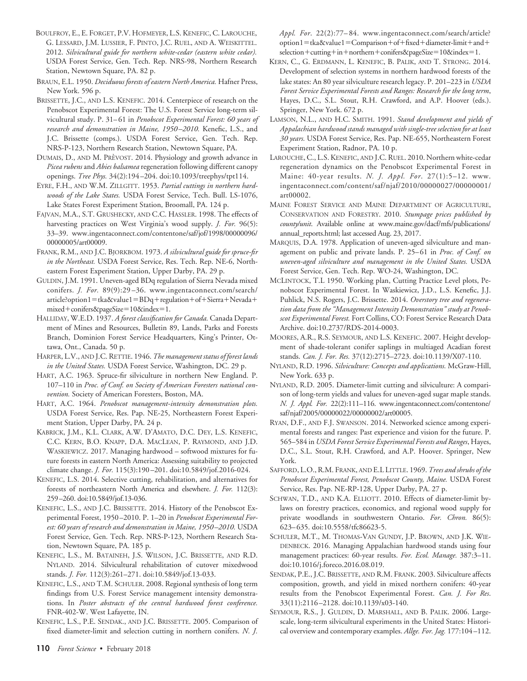- BOULFROY, E., E. FORGET, P.V. HOFMEYER, L.S. KENEFIC, C. LAROUCHE, G. LESSARD, J.M. LUSSIER, F. PINTO, J.C. RUEL, AND A. WEISKITTEL. 2012. *Silvicultural guide for northern white-cedar (eastern white cedar).* USDA Forest Service, Gen. Tech. Rep. NRS-98, Northern Research Station, Newtown Square, PA. 82 p.
- BRAUN, E.L. 1950. *Deciduous forests of eastern North America.* Hafner Press, New York. 596 p.

BRISSETTE, J.C., AND L.S. KENEFIC. 2014. Centerpiece of research on the Penobscot Experimental Forest: The U.S. Forest Service long-term silvicultural study. P. 31– 61 in *Penobscot Experimental Forest: 60 years of research and demonstration in Maine, 1950 –2010.* Kenefic, L.S., and J.C. Brissette (comps.). USDA Forest Service, Gen. Tech. Rep. NRS-P-123, Northern Research Station, Newtown Square, PA. BOUTSCRY, E., F. F. Control, 1973. (1163). The selection of low value with the selection of low value of low value of low value of low value of low value of low value of low value of low value of low value of low value of

- DUMAIS, D., AND M. PRÈVOST. 2014. Physiology and growth advance in *Picea rubens* and *Abies balsamea* regeneration following different canopy openings. *Tree Phys.* 34(2):194 –204. doi:10.1093/treephys/tpt114.
- EYRE, F.H., AND W.M. ZILLGITT. 1953. *Partial cuttings in northern hardwoods of the Lake States.* USDA Forest Service, Tech. Bull. LS-1076, Lake States Forest Experiment Station, Broomall, PA. 124 p.
- FAJVAN, M.A., S.T. GRUSHECKY, AND C.C. HASSLER. 1998. The effects of harvesting practices on West Virginia's wood supply. *J. For.* 96(5): 33–39. www.ingentaconnect.com/contentone/saf/jof/1998/00000096/ 00000005/art00009.

FRANK, R.M., AND J.C. BJORKBOM. 1973. *A silvicultural guide for spruce-fir in the Northeast.* USDA Forest Service, Res. Tech. Rep. NE-6, Northeastern Forest Experiment Station, Upper Darby, PA. 29 p.

- GULDIN, J.M. 1991. Uneven-aged BDq regulation of Sierra Nevada mixed conifers. *J. For.* 89(9):29 –36. www.ingentaconnect.com/search/ article?option1=tka&value1=BDq+regulation+of+Sierra+Nevada+ mixed+conifers&pageSize=10&index=1.
- HALLIDAY, W.E.D. 1937. *A forest classification for Canada.* Canada Department of Mines and Resources, Bulletin 89, Lands, Parks and Forests Branch, Dominion Forest Service Headquarters, King's Printer, Ottawa, Ont., Canada. 50 p.
- HARPER, L.V., AND J.C. RETTIE. 1946. *The management status of forest lands in the United States.* USDA Forest Service, Washington, DC. 29 p.
- HART, A.C. 1963. Spruce-fir silviculture in northern New England. P. 107–110 in *Proc. of Conf. on Society of American Foresters national convention.* Society of American Foresters, Boston, MA.
- HART, A.C. 1964. *Penobscot management-intensity demonstration plots.* USDA Forest Service, Res. Pap. NE-25, Northeastern Forest Experiment Station, Upper Darby, PA. 24 p.
- KABRICK, J.M., K.L. CLARK, A.W. D'AMATO, D.C. DEY, L.S. KENEFIC, C.C. KERN, B.O. KNAPP, D.A. MACLEAN, P. RAYMOND, AND J.D. WASKIEWICZ. 2017. Managing hardwood – softwood mixtures for future forests in eastern North America: Assessing suitability to projected climate change. *J. For.* 115(3):190 –201. doi:10.5849/jof.2016-024.
- KENEFIC, L.S. 2014. Selective cutting, rehabilitation, and alternatives for forests of northeastern North America and elsewhere. *J. For.* 112(3): 259 –260. doi:10.5849/jof.13-036.
- KENEFIC, L.S., AND J.C. BRISSETTE. 2014. History of the Penobscot Experimental Forest, 1950 –2010. P. 1–20 in *Penobscot Experimental Forest: 60 years of research and demonstration in Maine, 1950 –2010.* USDA Forest Service, Gen. Tech. Rep. NRS-P-123, Northern Research Station, Newtown Square, PA. 185 p.
- KENEFIC, L.S., M. BATAINEH, J.S. WILSON, J.C. BRISSETTE, AND R.D. NYLAND. 2014. Silvicultural rehabilitation of cutover mixedwood stands. *J. For.* 112(3):261–271. doi:10.5849/jof.13-033.
- KENEFIC, L.S., AND T.M. SCHULER. 2008. Regional synthesis of long term findings from U.S. Forest Service management intensity demonstrations. In *Poster abstracts of the central hardwood forest conference.* FNR-402-W. West Lafayette, IN.
- KENEFIC, L.S., P.E. SENDAK., AND J.C. BRISSETTE. 2005. Comparison of fixed diameter-limit and selection cutting in northern conifers. N. J.

*Appl. For*. 22(2):77– 84. www.ingentaconnect.com/search/article? option1=tka&value1=Comparison+of+fixed+diameter-limit+and+  $s$ election + cutting + in + northern + conifers&pageSize = 10&index = 1.

- lake states: An 80 year silviculture research legacy. P. 201–223 in *USDA Forest Service Experimental Forests and Ranges: Research for the long term*, Hayes, D.C., S.L. Stout, R.H. Crawford, and A.P. Hoover (eds.). Springer, New York. 672 p. KERN, C., G. ERDMANN, L. KENEFIC, B. PALIK, AND T. STRONG. 2014. Development of selection systems in northern hardwood forests of the
- LAMSON, N.L., AND H.C. SMITH. 1991. *Stand development and yields of Appalachian hardwood stands managed with single-tree selection for at least 30 years.* USDA Forest Service, Res. Pap. NE-655, Northeastern Forest Experiment Station, Radnor, PA. 10 p.
- LAROUCHE, C., L.S. KENEFIC, AND J.C. RUEL. 2010. Northern white-cedar regeneration dynamics on the Penobscot Experimental Forest in Maine: 40-year results. *N. J. Appl. For*. 27(1):5–12. www. ingentaconnect.com/content/saf/njaf/2010/00000027/00000001/ art00002.
- MAINE FOREST SERVICE AND MAINE DEPARTMENT OF AGRICULTURE, CONSERVATION AND FORESTRY. 2010. *Stumpage prices published by county/unit*. Available online at www.maine.gov/dacf/mfs/publications/ annual\_reports.html; last accessed Aug. 23, 2017.
- MARQUIS, D.A. 1978. Application of uneven-aged silviculture and management on public and private lands. P. 25– 61 in *Proc. of Conf. on uneven-aged silviculture and management in the United States.* USDA Forest Service, Gen. Tech. Rep. WO-24, Washington, DC.
- MCLINTOCK, T.L 1950. Working plan, Cutting Practice Level plots, Penobscot Experimental Forest. In Waskiewicz, J.D., L.S. Kenefic, J.J. Puhlick, N.S. Rogers, J.C. Brissette. 2014. *Overstory tree and regeneration data from the "Management Intensity Demonstration" study at Penobscot Experimental Forest.* Fort Collins, CO: Forest Service Research Data Archive. doi:10.2737/RDS-2014-0003.
- MOORES, A.R., R.S. SEYMOUR, AND L.S. KENEFIC. 2007. Height development of shade-tolerant conifer saplings in multiaged Acadian forest stands. *Can. J. For. Res.* 37(12):2715–2723. doi:10.1139/X07-110.
- NYLAND, R.D. 1996. *Silviculture: Concepts and applications.* McGraw-Hill, New York. 633 p.
- NYLAND, R.D. 2005. Diameter-limit cutting and silviculture: A comparison of long-term yields and values for uneven-aged sugar maple stands. *N. J. Appl. For.* 22(2):111–116. www.ingentaconnect.com/contentone/ saf/njaf/2005/00000022/00000002/art00005.
- RYAN, D.F., AND F.J. SWANSON. 2014. Networked science among experimental forests and ranges: Past experience and vision for the future. P. 565–584 in *USDA Forest Service Experimental Forests and Ranges*, Hayes, D.C., S.L. Stout, R.H. Crawford, and A.P. Hoover. Springer, New York.
- SAFFORD, L.O., R.M. FRANK, AND E.L LITTLE. 1969. *Trees and shrubs of the Penobscot Experimental Forest, Penobscot County, Maine.* USDA Forest Service, Res. Pap. NE-RP-128, Upper Darby, PA. 27 p.
- SCHWAN, T.D., AND K.A. ELLIOTT. 2010. Effects of diameter-limit bylaws on forestry practices, economics, and regional wood supply for private woodlands in southwestern Ontario. *For. Chron.* 86(5): 623– 635. doi:10.5558/tfc86623-5.
- SCHULER, M.T., M. THOMAS-VAN GUNDY, J.P. BROWN, AND J.K. WIE-DENBECK. 2016. Managing Appalachian hardwood stands using four management practices: 60-year results. *For. Ecol. Manage.* 387:3–11. doi:10.1016/j.foreco.2016.08.019.
- SENDAK, P.E., J.C. BRISSETTE, AND R.M. FRANK. 2003. Silviculture affects composition, growth, and yield in mixed northern conifers: 40-year results from the Penobscot Experimental Forest. *Can. J. For Res*. 33(11):2116 –2128. doi:10.1139/x03-140.
- SEYMOUR, R.S., J. GULDIN, D. MARSHALL, AND B. PALIK. 2006. Largescale, long-term silvicultural experiments in the United States: Historical overview and contemporary examples. *Allge. For. Jag.* 177:104 –112.